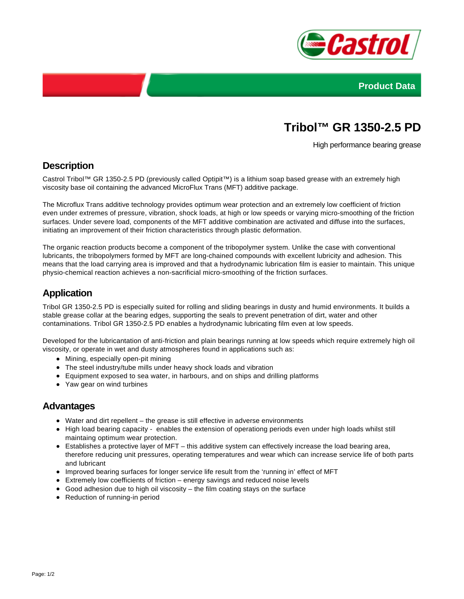



# **Tribol™ GR 1350-2.5 PD**

High performance bearing grease

## **Description**

Castrol Tribol™ GR 1350-2.5 PD (previously called Optipit™) is a lithium soap based grease with an extremely high viscosity base oil containing the advanced MicroFlux Trans (MFT) additive package.

The Microflux Trans additive technology provides optimum wear protection and an extremely low coefficient of friction even under extremes of pressure, vibration, shock loads, at high or low speeds or varying micro-smoothing of the friction surfaces. Under severe load, components of the MFT additive combination are activated and diffuse into the surfaces, initiating an improvement of their friction characteristics through plastic deformation.

The organic reaction products become a component of the tribopolymer system. Unlike the case with conventional lubricants, the tribopolymers formed by MFT are long-chained compounds with excellent lubricity and adhesion. This means that the load carrying area is improved and that a hydrodynamic lubrication film is easier to maintain. This unique physio-chemical reaction achieves a non-sacrificial micro-smoothing of the friction surfaces.

## **Application**

Tribol GR 1350-2.5 PD is especially suited for rolling and sliding bearings in dusty and humid environments. It builds a stable grease collar at the bearing edges, supporting the seals to prevent penetration of dirt, water and other contaminations. Tribol GR 1350-2.5 PD enables a hydrodynamic lubricating film even at low speeds.

Developed for the lubricantation of anti-friction and plain bearings running at low speeds which require extremely high oil viscosity, or operate in wet and dusty atmospheres found in applications such as:

- Mining, especially open-pit mining
- The steel industry/tube mills under heavy shock loads and vibration
- Equipment exposed to sea water, in harbours, and on ships and drilling platforms
- Yaw gear on wind turbines

### **Advantages**

- Water and dirt repellent the grease is still effective in adverse environments
- High load bearing capacity enables the extension of operationg periods even under high loads whilst still maintaing optimum wear protection.
- Establishes a protective layer of MFT this additive system can effectively increase the load bearing area, therefore reducing unit pressures, operating temperatures and wear which can increase service life of both parts and lubricant
- Improved bearing surfaces for longer service life result from the 'running in' effect of MFT
- Extremely low coefficients of friction energy savings and reduced noise levels
- Good adhesion due to high oil viscosity  $-$  the film coating stays on the surface
- Reduction of running-in period